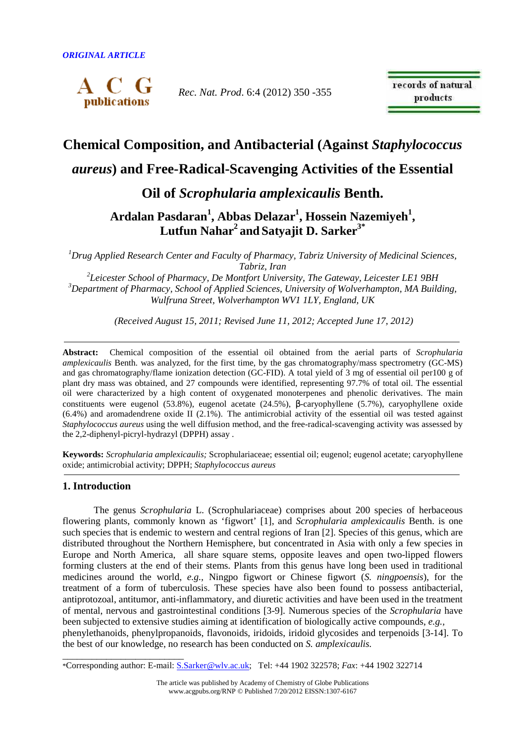

*Rec. Nat. Prod*. 6:4 (2012) 350 -355

records of natural products

# **Chemical Composition, and Antibacterial (Against** *Staphylococcus*

# *aureus***) and Free-Radical-Scavenging Activities of the Essential**

**Oil of** *Scrophularia amplexicaulis* **Benth.** 

**Ardalan Pasdaran<sup>1</sup> , Abbas Delazar<sup>1</sup> , Hossein Nazemiyeh<sup>1</sup> , Lutfun Nahar<sup>2</sup>and Satyajit D. Sarker3\***

*<sup>1</sup>Drug Applied Research Center and Faculty of Pharmacy, Tabriz University of Medicinal Sciences, Tabriz, Iran* 

*2 Leicester School of Pharmacy, De Montfort University, The Gateway, Leicester LE1 9BH <sup>3</sup>Department of Pharmacy, School of Applied Sciences, University of Wolverhampton, MA Building, Wulfruna Street, Wolverhampton WV1 1LY, England, UK*

 *(Received August 15, 2011; Revised June 11, 2012; Accepted June 17, 2012)* 

**Abstract:** Chemical composition of the essential oil obtained from the aerial parts of *Scrophularia amplexicaulis* Benth. was analyzed, for the first time, by the gas chromatography/mass spectrometry (GC-MS) and gas chromatography/flame ionization detection (GC-FID). A total yield of 3 mg of essential oil per100 g of plant dry mass was obtained, and 27 compounds were identified, representing 97.7% of total oil. The essential oil were characterized by a high content of oxygenated monoterpenes and phenolic derivatives. The main constituents were eugenol (53.8%), eugenol acetate (24.5%), β-caryophyllene (5.7%), caryophyllene oxide (6.4%) and aromadendrene oxide II (2.1%). The antimicrobial activity of the essential oil was tested against *Staphylococcus aureus* using the well diffusion method, and the free-radical-scavenging activity was assessed by the 2,2-diphenyl-picryl-hydrazyl (DPPH) assay .

**Keywords:** *Scrophularia amplexicaulis;* Scrophulariaceae; essential oil; eugenol; eugenol acetate; caryophyllene oxide; antimicrobial activity; DPPH; *Staphylococcus aureus*

## **1. Introduction**

\_\_\_\_\_\_\_\_\_\_\_\_\_\_\_\_\_\_\_\_\_\_\_\_\_

The genus *Scrophularia* L. (Scrophulariaceae) comprises about 200 species of herbaceous flowering plants, commonly known as 'figwort' [1], and *Scrophularia amplexicaulis* Benth. is one such species that is endemic to western and central regions of Iran [2]. Species of this genus, which are distributed throughout the Northern Hemisphere, but concentrated in Asia with only a few species in Europe and North America, all share square stems, opposite leaves and open two-lipped flowers forming clusters at the end of their stems. Plants from this genus have long been used in traditional medicines around the world, *e.g.,* Ningpo figwort or Chinese figwort (*S. ningpoensis*), for the treatment of a form of tuberculosis. These species have also been found to possess antibacterial, antiprotozoal, antitumor, anti-inflammatory, and diuretic activities and have been used in the treatment of mental, nervous and gastrointestinal conditions [3-9]. Numerous species of the *Scrophularia* have been subjected to extensive studies aiming at identification of biologically active compounds, *e.g.,*  phenylethanoids, phenylpropanoids, flavonoids, iridoids, iridoid glycosides and terpenoids [3-14]. To the best of our knowledge, no research has been conducted on *S. amplexicaulis.*

<sup>\*</sup>Corresponding author: E-mail: S.Sarker@wlv.ac.uk; Tel: +44 1902 322578; *Fax*: +44 1902 322714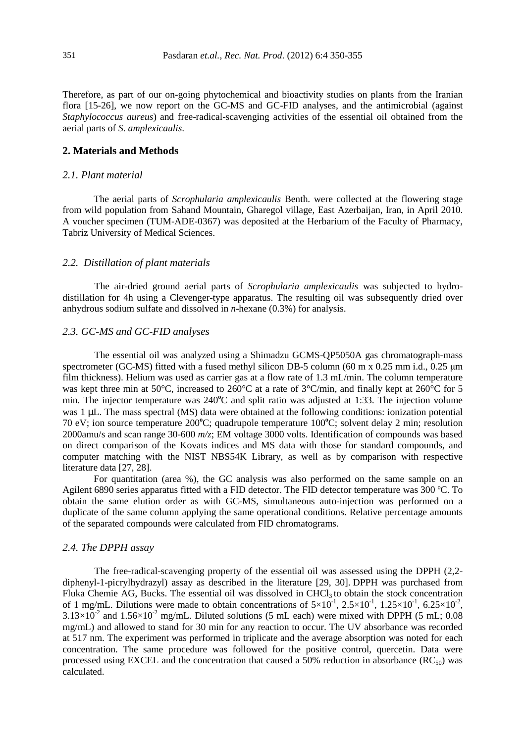Therefore, as part of our on-going phytochemical and bioactivity studies on plants from the Iranian flora [15-26], we now report on the GC-MS and GC-FID analyses, and the antimicrobial (against *Staphylococcus aureus*) and free-radical-scavenging activities of the essential oil obtained from the aerial parts of *S. amplexicaulis*.

#### **2. Materials and Methods**

#### *2.1. Plant material*

The aerial parts of *Scrophularia amplexicaulis* Benth. were collected at the flowering stage from wild population from Sahand Mountain, Gharegol village, East Azerbaijan, Iran, in April 2010. A voucher specimen (TUM-ADE-0367) was deposited at the Herbarium of the Faculty of Pharmacy, Tabriz University of Medical Sciences.

#### *2.2. Distillation of plant materials*

The air-dried ground aerial parts of *Scrophularia amplexicaulis* was subjected to hydrodistillation for 4h using a Clevenger-type apparatus. The resulting oil was subsequently dried over anhydrous sodium sulfate and dissolved in *n*-hexane (0.3%) for analysis.

#### *2.3. GC-MS and GC-FID analyses*

The essential oil was analyzed using a Shimadzu GCMS-QP5050A gas chromatograph-mass spectrometer (GC-MS) fitted with a fused methyl silicon DB-5 column (60 m x 0.25 mm i.d., 0.25  $\mu$ m film thickness). Helium was used as carrier gas at a flow rate of 1.3 mL/min. The column temperature was kept three min at 50°C, increased to 260°C at a rate of 3°C/min, and finally kept at 260°C for 5 min. The injector temperature was 240<sup>o</sup>C and split ratio was adjusted at 1:33. The injection volume was 1 uL. The mass spectral (MS) data were obtained at the following conditions: ionization potential 70 eV; ion source temperature 200**<sup>o</sup>**C; quadrupole temperature 100**<sup>o</sup>**C; solvent delay 2 min; resolution 2000amu/s and scan range 30-600 *m/z*; EM voltage 3000 volts. Identification of compounds was based on direct comparison of the Kovats indices and MS data with those for standard compounds, and computer matching with the NIST NBS54K Library, as well as by comparison with respective literature data [27, 28].

For quantitation (area %), the GC analysis was also performed on the same sample on an Agilent 6890 series apparatus fitted with a FID detector. The FID detector temperature was 300 ºC. To obtain the same elution order as with GC-MS, simultaneous auto-injection was performed on a duplicate of the same column applying the same operational conditions. Relative percentage amounts of the separated compounds were calculated from FID chromatograms.

### *2.4. The DPPH assay*

The free-radical-scavenging property of the essential oil was assessed using the DPPH (2,2 diphenyl-1-picrylhydrazyl) assay as described in the literature [29, 30]. DPPH was purchased from Fluka Chemie AG, Bucks. The essential oil was dissolved in  $CHCl<sub>3</sub>$  to obtain the stock concentration of 1 mg/mL. Dilutions were made to obtain concentrations of  $5\times10^{-1}$ ,  $2.5\times10^{-1}$ ,  $1.25\times10^{-1}$ ,  $6.25\times10^{-2}$ ,  $3.13\times10^{-2}$  and  $1.56\times10^{-2}$  mg/mL. Diluted solutions (5 mL each) were mixed with DPPH (5 mL; 0.08 mg/mL) and allowed to stand for 30 min for any reaction to occur. The UV absorbance was recorded at 517 nm. The experiment was performed in triplicate and the average absorption was noted for each concentration. The same procedure was followed for the positive control, quercetin. Data were processed using EXCEL and the concentration that caused a 50% reduction in absorbance  $(RC_{50})$  was calculated.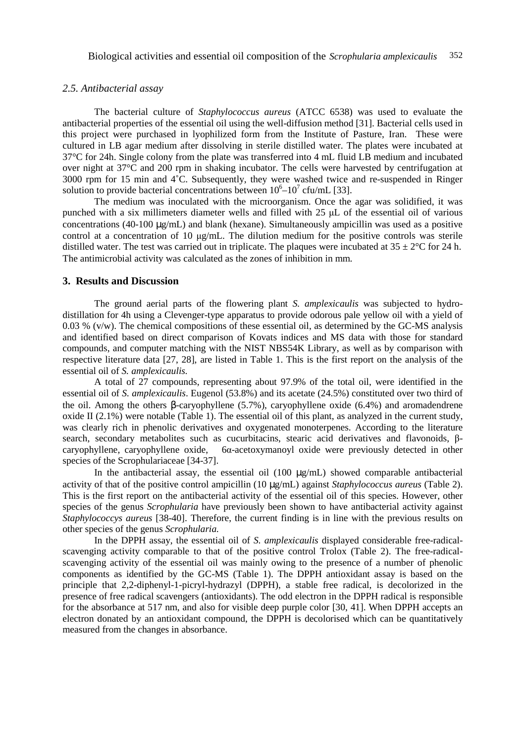#### *2.5. Antibacterial assay*

The bacterial culture of *Staphylococcus aureus* (ATCC 6538) was used to evaluate the antibacterial properties of the essential oil using the well-diffusion method [31]. Bacterial cells used in this project were purchased in lyophilized form from the Institute of Pasture, Iran. These were cultured in LB agar medium after dissolving in sterile distilled water. The plates were incubated at 37°C for 24h. Single colony from the plate was transferred into 4 mL fluid LB medium and incubated over night at 37°C and 200 rpm in shaking incubator. The cells were harvested by centrifugation at 3000 rpm for 15 min and 4˚C. Subsequently, they were washed twice and re-suspended in Ringer solution to provide bacterial concentrations between  $10^6 - 10^7$  cfu/mL [33].

The medium was inoculated with the microorganism. Once the agar was solidified, it was punched with a six millimeters diameter wells and filled with 25 µL of the essential oil of various concentrations (40-100 µg/mL) and blank (hexane). Simultaneously ampicillin was used as a positive control at a concentration of 10 µg/mL. The dilution medium for the positive controls was sterile distilled water. The test was carried out in triplicate. The plaques were incubated at  $35 \pm 2^{\circ}$ C for 24 h. The antimicrobial activity was calculated as the zones of inhibition in mm.

#### **3. Results and Discussion**

The ground aerial parts of the flowering plant *S. amplexicaulis* was subjected to hydrodistillation for 4h using a Clevenger-type apparatus to provide odorous pale yellow oil with a yield of  $0.03\%$  (v/w). The chemical compositions of these essential oil, as determined by the GC-MS analysis and identified based on direct comparison of Kovats indices and MS data with those for standard compounds, and computer matching with the NIST NBS54K Library, as well as by comparison with respective literature data [27, 28], are listed in Table 1. This is the first report on the analysis of the essential oil of *S. amplexicaulis.*

A total of 27 compounds, representing about 97.9% of the total oil, were identified in the essential oil of *S. amplexicaulis*. Eugenol (53.8%) and its acetate (24.5%) constituted over two third of the oil. Among the others β-caryophyllene (5.7%), caryophyllene oxide (6.4%) and aromadendrene oxide II (2.1%) were notable (Table 1). The essential oil of this plant, as analyzed in the current study, was clearly rich in phenolic derivatives and oxygenated monoterpenes. According to the literature search, secondary metabolites such as cucurbitacins, stearic acid derivatives and flavonoids, β-<br>carvoohyllene carvoohyllene oxide. 6α-acetoxymanovl oxide were previously detected in other caryophyllene, caryophyllene oxide, 6α-acetoxymanoyl oxide were previously detected in other species of the Scrophulariaceae [34-37].

In the antibacterial assay, the essential oil (100 µg/mL) showed comparable antibacterial activity of that of the positive control ampicillin (10 µg/mL) against *Staphylococcus aureus* (Table 2). This is the first report on the antibacterial activity of the essential oil of this species. However, other species of the genus *Scrophularia* have previously been shown to have antibacterial activity against *Staphylococcys aureus* [38-40]. Therefore, the current finding is in line with the previous results on other species of the genus *Scrophularia.*

In the DPPH assay, the essential oil of *S. amplexicaulis* displayed considerable free-radicalscavenging activity comparable to that of the positive control Trolox (Table 2). The free-radicalscavenging activity of the essential oil was mainly owing to the presence of a number of phenolic components as identified by the GC-MS (Table 1). The DPPH antioxidant assay is based on the principle that 2,2-diphenyl-1-picryl-hydrazyl (DPPH), a stable free radical, is decolorized in the presence of free radical scavengers (antioxidants). The odd electron in the DPPH radical is responsible for the absorbance at 517 nm, and also for visible deep purple color [30, 41]. When DPPH accepts an electron donated by an antioxidant compound, the DPPH is decolorised which can be quantitatively measured from the changes in absorbance.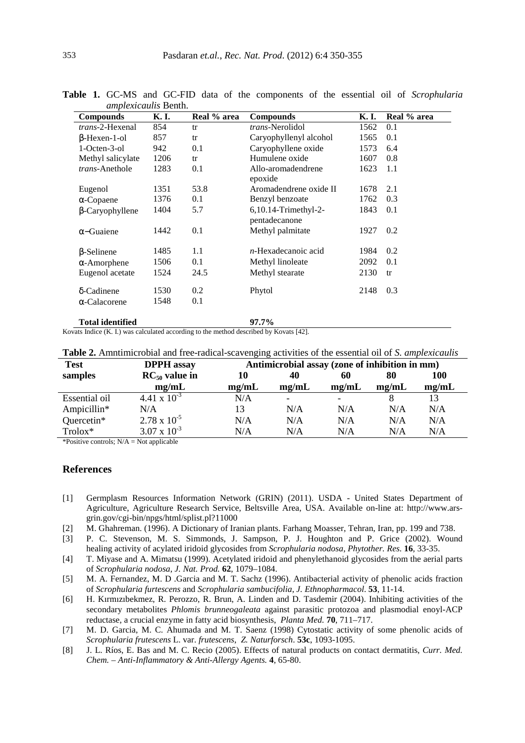| <b>Compounds</b>        | K. I. | Real % area | <b>Compounds</b>                      | K. I. | Real % area |  |
|-------------------------|-------|-------------|---------------------------------------|-------|-------------|--|
| <i>trans</i> -2-Hexenal | 854   | tr          | <i>trans</i> -Nerolidol               | 1562  | 0.1         |  |
| $\beta$ -Hexen-1-ol     | 857   | tr          | Caryophyllenyl alcohol                | 1565  | 0.1         |  |
| 1-Octen-3-ol            | 942   | 0.1         | Caryophyllene oxide                   | 1573  | 6.4         |  |
| Methyl salicylate       | 1206  | tr          | Humulene oxide                        | 1607  | 0.8         |  |
| trans-Anethole          | 1283  | 0.1         | Allo-aromadendrene<br>epoxide         | 1623  | 1.1         |  |
| Eugenol                 | 1351  | 53.8        | Aromadendrene oxide II                | 1678  | 2.1         |  |
| $\alpha$ -Copaene       | 1376  | 0.1         | Benzyl benzoate                       | 1762  | 0.3         |  |
| $\beta$ -Caryophyllene  | 1404  | 5.7         | 6,10.14-Trimethyl-2-<br>pentadecanone | 1843  | 0.1         |  |
| $\alpha$ –Guaiene       | 1442  | 0.1         | Methyl palmitate                      | 1927  | 0.2         |  |
| $\beta$ -Selinene       | 1485  | 1.1         | $n$ -Hexadecanoic acid                | 1984  | 0.2         |  |
| $\alpha$ -Amorphene     | 1506  | 0.1         | Methyl linoleate                      | 2092  | 0.1         |  |
| Eugenol acetate         | 1524  | 24.5        | Methyl stearate                       | 2130  | tr          |  |
| $\delta$ -Cadinene      | 1530  | 0.2         | Phytol                                | 2148  | 0.3         |  |
| $\alpha$ -Calacorene    | 1548  | 0.1         |                                       |       |             |  |
| <b>Total identified</b> |       |             | 97.7%                                 |       |             |  |

**Table 1.** GC-MS and GC-FID data of the components of the essential oil of *Scrophularia amplexicaulis* Benth.

Kovats Indice (K. I.) was calculated according to the method described by Kovats [42].

| <b>Test</b>   | <b>DPPH</b> assay     | Antimicrobial assay (zone of inhibition in mm) |       |                          |       |            |  |  |
|---------------|-----------------------|------------------------------------------------|-------|--------------------------|-------|------------|--|--|
| samples       | $RC_{50}$ value in    | 10                                             | 40    | 60                       | 80    | <b>100</b> |  |  |
|               | mg/mL                 | mg/mL                                          | mg/mL | mg/mL                    | mg/mL | mg/mL      |  |  |
| Essential oil | 4.41 x $10^{-3}$      | N/A                                            |       | $\overline{\phantom{0}}$ |       |            |  |  |
| Ampicillin*   | N/A                   | 13                                             | N/A   | N/A                      | N/A   | N/A        |  |  |
| Quercetin*    | $2.78 \times 10^{-5}$ | N/A                                            | N/A   | N/A                      | N/A   | N/A        |  |  |
| $Trolox*$     | $3.07 \times 10^{-3}$ | N/A                                            | N/A   | N/A                      | N/A   | N/A        |  |  |

| Table 2. Amntimicrobial and free-radical-scavenging activities of the essential oil of S. amplexicaulis |  |
|---------------------------------------------------------------------------------------------------------|--|
|---------------------------------------------------------------------------------------------------------|--|

\*Positive controls;  $N/A = Not$  applicable

### **References**

- [1] Germplasm Resources Information Network (GRIN) (2011). USDA United States Department of Agriculture, Agriculture Research Service, Beltsville Area, USA. Available on-line at: http://www.arsgrin.gov/cgi-bin/npgs/html/splist.pl?11000
- [2] M. Ghahreman. (1996). A Dictionary of Iranian plants. Farhang Moasser, Tehran, Iran, pp. 199 and 738.
- [3] P. C. Stevenson, M. S. Simmonds, J. Sampson, P. J. Houghton and P. Grice (2002). Wound healing activity of acylated iridoid glycosides from *Scrophularia nodosa*, *Phytother. Res.* **16**, 33-35.
- [4] T. Miyase and A. Mimatsu (1999). Acetylated iridoid and phenylethanoid glycosides from the aerial parts of *Scrophularia nodosa*, *J. Nat. Prod.* **62**, 1079–1084.
- [5] M. A. Fernandez, M. D .Garcia and M. T. Sachz (1996). Antibacterial activity of phenolic acids fraction of *Scrophularia furtescens* and *Scrophularia sambucifolia*, *J. Ethnopharmacol*. **53**, 11-14.
- [6] H. Kırmızıbekmez, R. Perozzo, R. Brun, A. Linden and D. Tasdemir (2004). Inhibiting activities of the secondary metabolites *Phlomis brunneogaleata* against parasitic protozoa and plasmodial enoyl-ACP reductase, a crucial enzyme in fatty acid biosynthesis, *Planta Med.* **70**, 711–717.
- [7] M. D. Garcia, M. C. Ahumada and M. T. Saenz (1998) Cytostatic activity of some phenolic acids of *Scrophularia frutescens* L. var. *frutescens*, *Z. Naturforsch*. **53c**, 1093-1095.
- [8] J. L. Ríos, E. Bas and M. C. Recio (2005). Effects of natural products on contact dermatitis, *Curr. Med. Chem. – Anti-Inflammatory & Anti-Allergy Agents.* **4**, 65-80.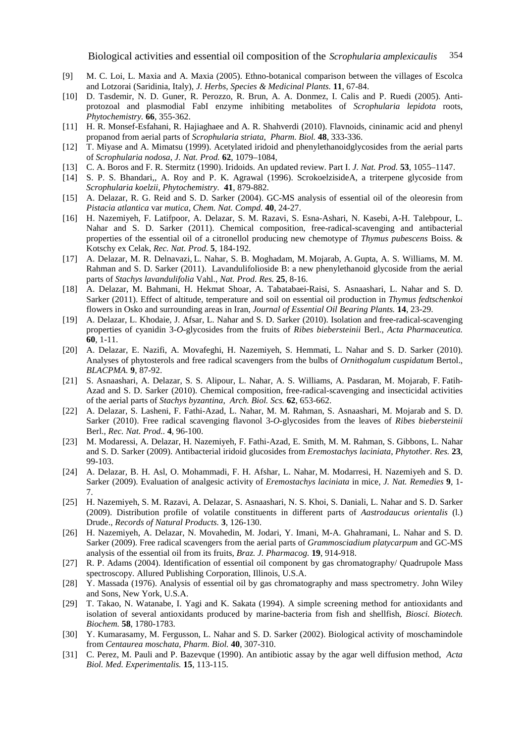Biological activities and essential oil composition of the *Scrophularia amplexicaulis* 354

- [9] M. C. Loi, L. Maxia and A. Maxia (2005). Ethno-botanical comparison between the villages of Escolca and Lotzorai (Saridinia, Italy), *J. Herbs, Species & Medicinal Plants.* **11**, 67-84.
- [10] D. Tasdemir, N. D. Guner, R. Perozzo, R. Brun, A. A. Donmez, I. Calis and P. Ruedi (2005). Antiprotozoal and plasmodial FabI enzyme inhibiting metabolites of *Scrophularia lepidota* roots, *Phytochemistry.* **66**, 355-362.
- [11] H. R. Monsef-Esfahani, R. Hajiaghaee and A. R. Shahverdi (2010). Flavnoids, cininamic acid and phenyl propanod from aerial parts of *Scrophularia striata*, *Pharm. Biol.* **48**, 333-336.
- [12] T. Miyase and A. Mimatsu (1999). Acetylated iridoid and phenylethanoidglycosides from the aerial parts of *Scrophularia nodosa*, *J. Nat. Prod.* **62**, 1079–1084,
- [13] C. A. Boros and F. R. Stermitz (1990). Iridoids. An updated review. Part I. *J. Nat. Prod.* **53**, 1055–1147.
- [14] S. P. S. Bhandari,, A. Roy and P. K. Agrawal (1996). ScrokoelzisideA, a triterpene glycoside from *Scrophularia koelzii*, *Phytochemistry.* **41**, 879-882.
- [15] A. Delazar, R. G. Reid and S. D. Sarker (2004). GC-MS analysis of essential oil of the oleoresin from *Pistacia atlantica* var *mutica*, *Chem. Nat. Compd.* **40**, 24-27.
- [16] H. Nazemiyeh, F. Latifpoor, A. Delazar, S. M. Razavi, S. Esna-Ashari, N. Kasebi, A-H. Talebpour, L. Nahar and S. D. Sarker (2011). Chemical composition, free-radical-scavenging and antibacterial properties of the essential oil of a citronellol producing new chemotype of *Thymus pubescens* Boiss. & Kotschy ex Celak, *Rec. Nat. Prod.* **5**, 184-192.
- [17] A. Delazar, M. R. Delnavazi, L. Nahar, S. B. Moghadam, M. Mojarab, A. Gupta, A. S. Williams, M. M. Rahman and S. D. Sarker (2011). Lavandulifolioside B: a new phenylethanoid glycoside from the aerial parts of *Stachys lavandulifolia* Vahl., *Nat. Prod. Res.* **25**, 8-16.
- [18] A. Delazar, M. Bahmani, H. Hekmat Shoar, A. Tabatabaei-Raisi, S. Asnaashari, L. Nahar and S. D. Sarker (2011). Effect of altitude, temperature and soil on essential oil production in *Thymus fedtschenkoi* flowers in Osko and surrounding areas in Iran, *Journal of Essential Oil Bearing Plants.* **14**, 23-29.
- [19] A. Delazar, L. Khodaie, J. Afsar, L. Nahar and S. D. Sarker (2010). Isolation and free-radical-scavenging properties of cyanidin 3-*O*-glycosides from the fruits of *Ribes biebersteinii* Berl., *Acta Pharmaceutica.*  **60**, 1-11.
- [20] A. Delazar, E. Nazifi, A. Movafeghi, H. Nazemiyeh, S. Hemmati, L. Nahar and S. D. Sarker (2010). Analyses of phytosterols and free radical scavengers from the bulbs of *Ornithogalum cuspidatum* Bertol., *BLACPMA.* **9**, 87-92.
- [21] S. Asnaashari, A. Delazar, S. S. Alipour, L. Nahar, A. S. Williams, A. Pasdaran, M. Mojarab, F. Fatih-Azad and S. D. Sarker (2010). Chemical composition, free-radical-scavenging and insecticidal activities of the aerial parts of *Stachys byzantina*, *Arch. Biol. Scs.* **62**, 653-662.
- [22] A. Delazar, S. Lasheni, F. Fathi-Azad, L. Nahar, M. M. Rahman, S. Asnaashari, M. Mojarab and S. D. Sarker (2010). Free radical scavenging flavonol 3-*O*-glycosides from the leaves of *Ribes biebersteinii* Berl., *Rec. Nat. Prod..* **4**, 96-100.
- [23] M. Modaressi, A. Delazar, H. Nazemiyeh, F. Fathi-Azad, E. Smith, M. M. Rahman, S. Gibbons, L. Nahar and S. D. Sarker (2009). Antibacterial iridoid glucosides from *Eremostachys laciniata*, *Phytother. Res.* **23**, 99-103.
- [24] A. Delazar, B. H. Asl, O. Mohammadi, F. H. Afshar, L. Nahar, M. Modarresi, H. Nazemiyeh and S. D. Sarker (2009). Evaluation of analgesic activity of *Eremostachys laciniata* in mice*, J. Nat. Remedies* **9**, 1- 7.
- [25] H. Nazemiyeh, S. M. Razavi, A. Delazar, S. Asnaashari, N. S. Khoi, S. Daniali, L. Nahar and S. D. Sarker (2009). Distribution profile of volatile constituents in different parts of *Aastrodaucus orientalis* (l.) Drude., *Records of Natural Products.* **3**, 126-130.
- [26] H. Nazemiyeh, A. Delazar, N. Movahedin, M. Jodari, Y. Imani, M-A. Ghahramani, L. Nahar and S. D. Sarker (2009). Free radical scavengers from the aerial parts of *Grammosciadium platycarpum* and GC-MS analysis of the essential oil from its fruits, *Braz. J. Pharmacog.* **19**, 914-918.
- [27] R. P. Adams (2004). Identification of essential oil component by gas chromatography/ Quadrupole Mass spectroscopy. Allured Publishing Corporation, Illinois, U.S.A.
- [28] Y. Massada (1976). Analysis of essential oil by gas chromatography and mass spectrometry. John Wiley and Sons, New York, U.S.A.
- [29] T. Takao, N. Watanabe, I. Yagi and K. Sakata (1994). A simple screening method for antioxidants and isolation of several antioxidants produced by marine-bacteria from fish and shellfish, *Biosci. Biotech. Biochem.* **58**, 1780-1783.
- [30] Y. Kumarasamy, M. Fergusson, L. Nahar and S. D. Sarker (2002). Biological activity of moschamindole from *Centaurea moschata*, *Pharm. Biol.* **40**, 307-310.
- [31] C. Perez, M. Pauli and P. Bazevque (1990). An antibiotic assay by the agar well diffusion method, *Acta Biol. Med. Experimentalis.* **15**, 113-115.